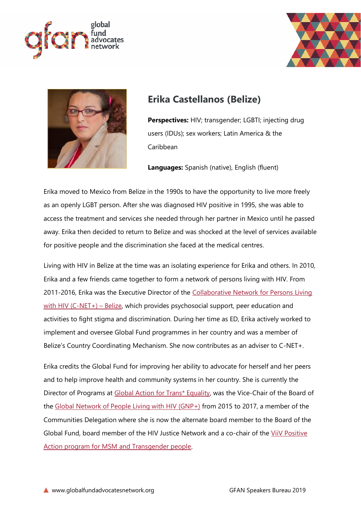





## **Erika Castellanos (Belize)**

**Perspectives:** HIV; transgender; LGBTI; injecting drug users (IDUs); sex workers; Latin America & the Caribbean

**Languages:** Spanish (native), English (fluent)

Erika moved to Mexico from Belize in the 1990s to have the opportunity to live more freely as an openly LGBT person. After she was diagnosed HIV positive in 1995, she was able to access the treatment and services she needed through her partner in Mexico until he passed away. Erika then decided to return to Belize and was shocked at the level of services available for positive people and the discrimination she faced at the medical centres.

Living with HIV in Belize at the time was an isolating experience for Erika and others. In 2010, Erika and a few friends came together to form a network of persons living with HIV. From 2011-2016, Erika was the Executive Director of the [Collaborative Network for Persons Living](https://www.aidsmap.com/org/11011/page/1411896/)  [with HIV \(C-NET+\)](https://www.aidsmap.com/org/11011/page/1411896/) – Belize, which provides psychosocial support, peer education and activities to fight stigma and discrimination. During her time as ED, Erika actively worked to implement and oversee Global Fund programmes in her country and was a member of Belize's Country Coordinating Mechanism. She now contributes as an adviser to C-NET+.

Erika credits the Global Fund for improving her ability to advocate for herself and her peers and to help improve health and community systems in her country. She is currently the Director of Programs at [Global Action for Trans\\* Equality,](https://transactivists.org/) was the Vice-Chair of the Board of the [Global Network of People Living with HIV \(GNP+\)](https://www.gnpplus.net/) from 2015 to 2017, a member of the Communities Delegation where she is now the alternate board member to the Board of the Global Fund, board member of the HIV Justice Network and a co-chair of the ViiV Positive [Action program for MSM and Transgender people.](https://www.viivhealthcare.com/en-gb/supporting-the-community/positive-action-programmes/positive-action-for-msm-transgender-people/)